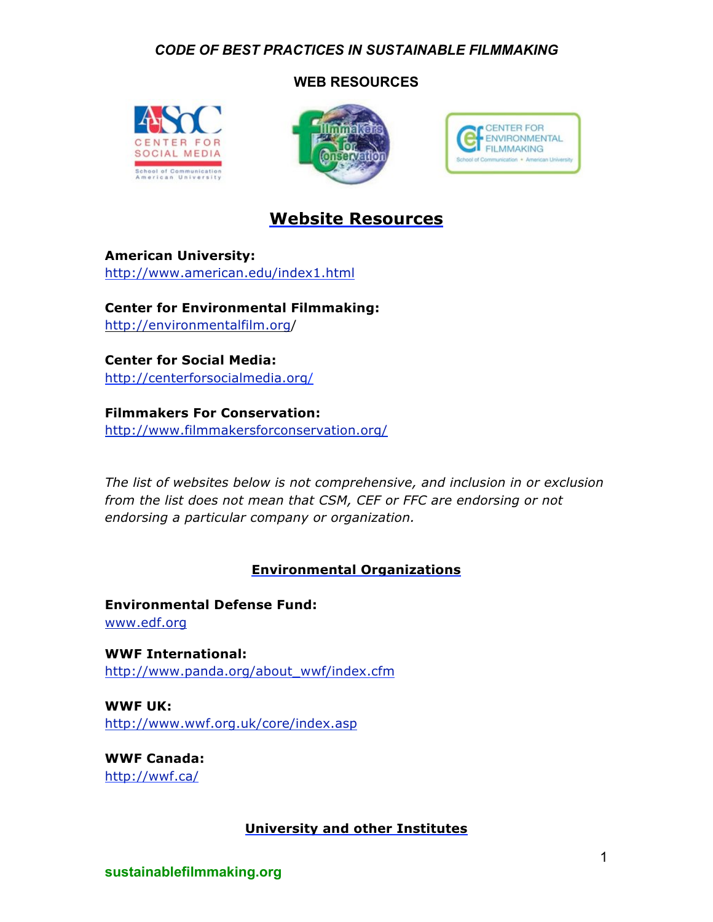## **WEB RESOURCES**







## **Website Resources**

**American University:** http://www.american.edu/index1.html

**Center for Environmental Filmmaking:** http://environmentalfilm.org/

**Center for Social Media:** http://centerforsocialmedia.org/

**Filmmakers For Conservation:** http://www.filmmakersforconservation.org/

*The list of websites below is not comprehensive, and inclusion in or exclusion from the list does not mean that CSM, CEF or FFC are endorsing or not endorsing a particular company or organization.*

## **Environmental Organizations**

**Environmental Defense Fund:**  www.edf.org

**WWF International:** http://www.panda.org/about\_wwf/index.cfm

**WWF UK:** http://www.wwf.org.uk/core/index.asp

**WWF Canada:** http://wwf.ca/

## **University and other Institutes**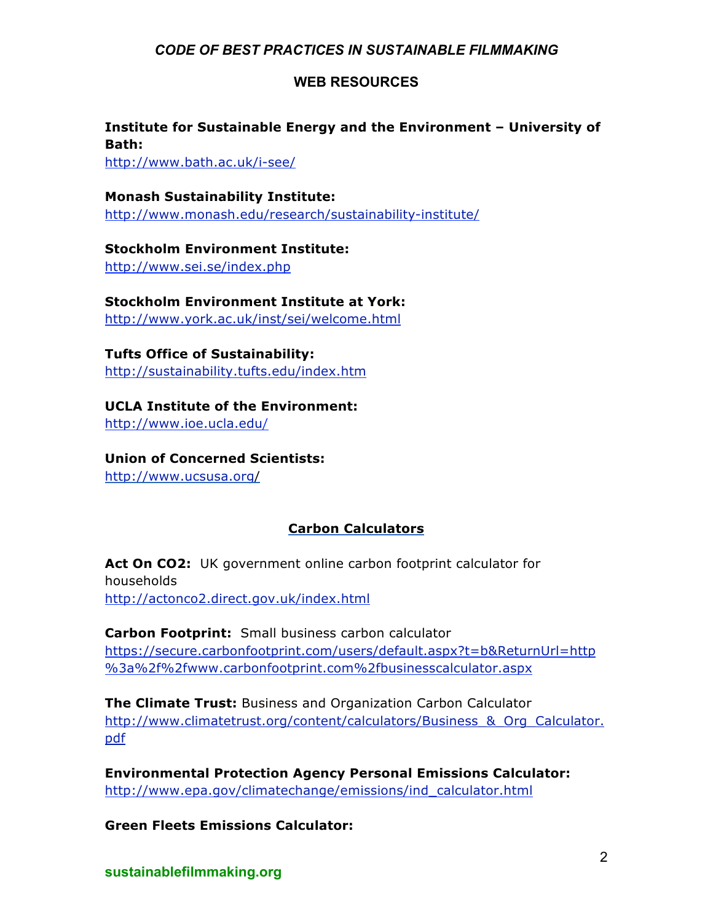## **WEB RESOURCES**

## **Institute for Sustainable Energy and the Environment – University of Bath:**

http://www.bath.ac.uk/i-see/

**Monash Sustainability Institute:** http://www.monash.edu/research/sustainability-institute/

**Stockholm Environment Institute:** http://www.sei.se/index.php

## **Stockholm Environment Institute at York:**

http://www.york.ac.uk/inst/sei/welcome.html

**Tufts Office of Sustainability:** http://sustainability.tufts.edu/index.htm

**UCLA Institute of the Environment:** http://www.ioe.ucla.edu/

**Union of Concerned Scientists:** http://www.ucsusa.org/

## **Carbon Calculators**

Act On CO2: UK government online carbon footprint calculator for households http://actonco2.direct.gov.uk/index.html

**Carbon Footprint:** Small business carbon calculator https://secure.carbonfootprint.com/users/default.aspx?t=b&ReturnUrl=http %3a%2f%2fwww.carbonfootprint.com%2fbusinesscalculator.aspx

**The Climate Trust:** Business and Organization Carbon Calculator http://www.climatetrust.org/content/calculators/Business\_&\_Org\_Calculator. pdf

**Environmental Protection Agency Personal Emissions Calculator:** http://www.epa.gov/climatechange/emissions/ind\_calculator.html

**Green Fleets Emissions Calculator:**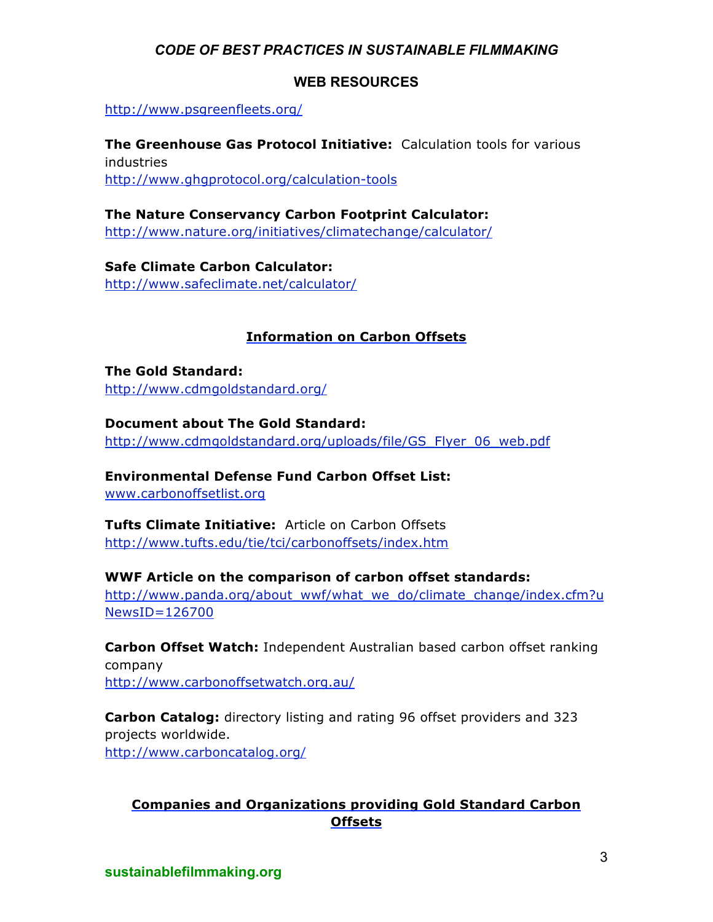## **WEB RESOURCES**

http://www.psgreenfleets.org/

**The Greenhouse Gas Protocol Initiative:** Calculation tools for various industries http://www.ghgprotocol.org/calculation-tools

**The Nature Conservancy Carbon Footprint Calculator:** http://www.nature.org/initiatives/climatechange/calculator/

**Safe Climate Carbon Calculator:** http://www.safeclimate.net/calculator/

## **Information on Carbon Offsets**

**The Gold Standard:**  http://www.cdmgoldstandard.org/

## **Document about The Gold Standard:**

http://www.cdmgoldstandard.org/uploads/file/GS\_Flyer\_06\_web.pdf

## **Environmental Defense Fund Carbon Offset List:**

www.carbonoffsetlist.org

**Tufts Climate Initiative:** Article on Carbon Offsets http://www.tufts.edu/tie/tci/carbonoffsets/index.htm

# **WWF Article on the comparison of carbon offset standards:**

http://www.panda.org/about\_wwf/what\_we\_do/climate\_change/index.cfm?u NewsID=126700

**Carbon Offset Watch:** Independent Australian based carbon offset ranking company http://www.carbonoffsetwatch.org.au/

**Carbon Catalog:** directory listing and rating 96 offset providers and 323 projects worldwide. http://www.carboncatalog.org/

## **Companies and Organizations providing Gold Standard Carbon Offsets**

**sustainablefilmmaking.org**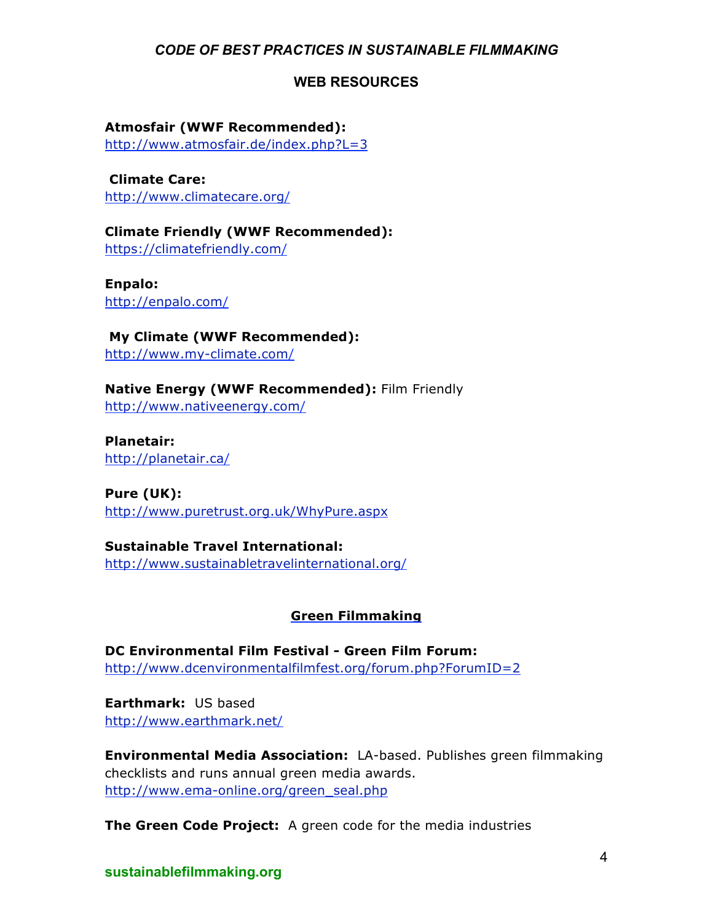## **WEB RESOURCES**

## **Atmosfair (WWF Recommended):**

http://www.atmosfair.de/index.php?L=3

**Climate Care:** http://www.climatecare.org/

**Climate Friendly (WWF Recommended):**  https://climatefriendly.com/

**Enpalo:**  http://enpalo.com/

**My Climate (WWF Recommended):** http://www.my-climate.com/

**Native Energy (WWF Recommended):** Film Friendly http://www.nativeenergy.com/

**Planetair:**  http://planetair.ca/

**Pure (UK):**  http://www.puretrust.org.uk/WhyPure.aspx

**Sustainable Travel International:** http://www.sustainabletravelinternational.org/

## **Green Filmmaking**

**DC Environmental Film Festival - Green Film Forum:**  http://www.dcenvironmentalfilmfest.org/forum.php?ForumID=2

**Earthmark:** US based http://www.earthmark.net/

**Environmental Media Association:** LA-based. Publishes green filmmaking checklists and runs annual green media awards. http://www.ema-online.org/green\_seal.php

**The Green Code Project:** A green code for the media industries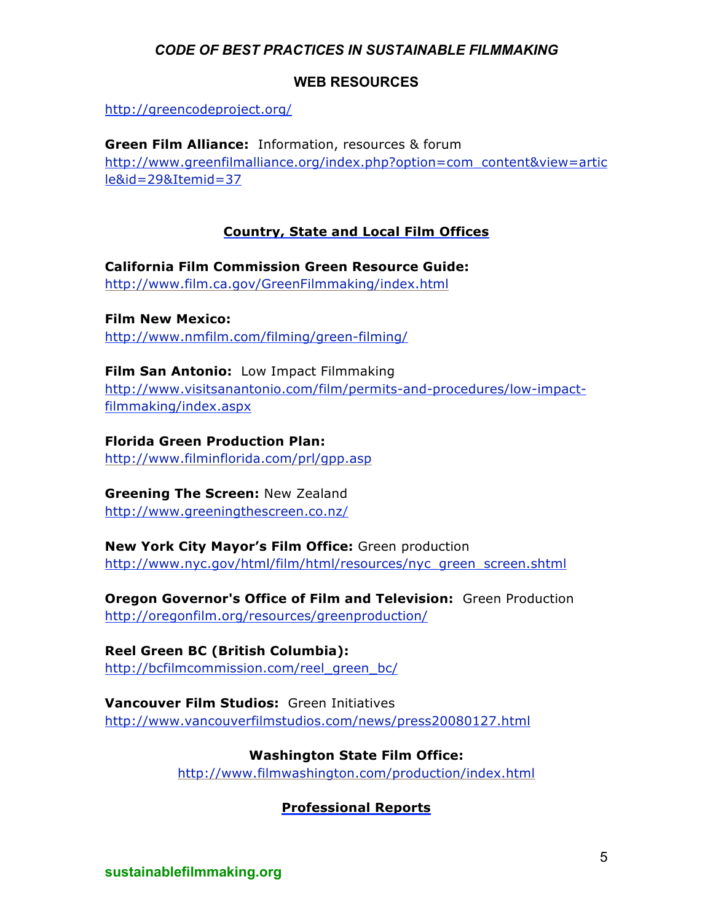## **WEB RESOURCES**

http://greencodeproject.org/

**Green Film Alliance:** Information, resources & forum http://www.greenfilmalliance.org/index.php?option=com\_content&view=artic le&id=29&Itemid=37

## **Country, State and Local Film Offices**

**California Film Commission Green Resource Guide:**  http://www.film.ca.gov/GreenFilmmaking/index.html

**Film New Mexico:**  http://www.nmfilm.com/filming/green-filming/

**Film San Antonio:** Low Impact Filmmaking http://www.visitsanantonio.com/film/permits-and-procedures/low-impactfilmmaking/index.aspx

**Florida Green Production Plan:**  http://www.filminflorida.com/prl/gpp.asp

## **Greening The Screen:** New Zealand

http://www.greeningthescreen.co.nz/

## **New York City Mayor's Film Office:** Green production

http://www.nyc.gov/html/film/html/resources/nyc\_green\_screen.shtml

**Oregon Governor's Office of Film and Television:** Green Production http://oregonfilm.org/resources/greenproduction/

**Reel Green BC (British Columbia):**  http://bcfilmcommission.com/reel\_green\_bc/

**Vancouver Film Studios:** Green Initiatives http://www.vancouverfilmstudios.com/news/press20080127.html

> **Washington State Film Office:** http://www.filmwashington.com/production/index.html

## **Professional Reports**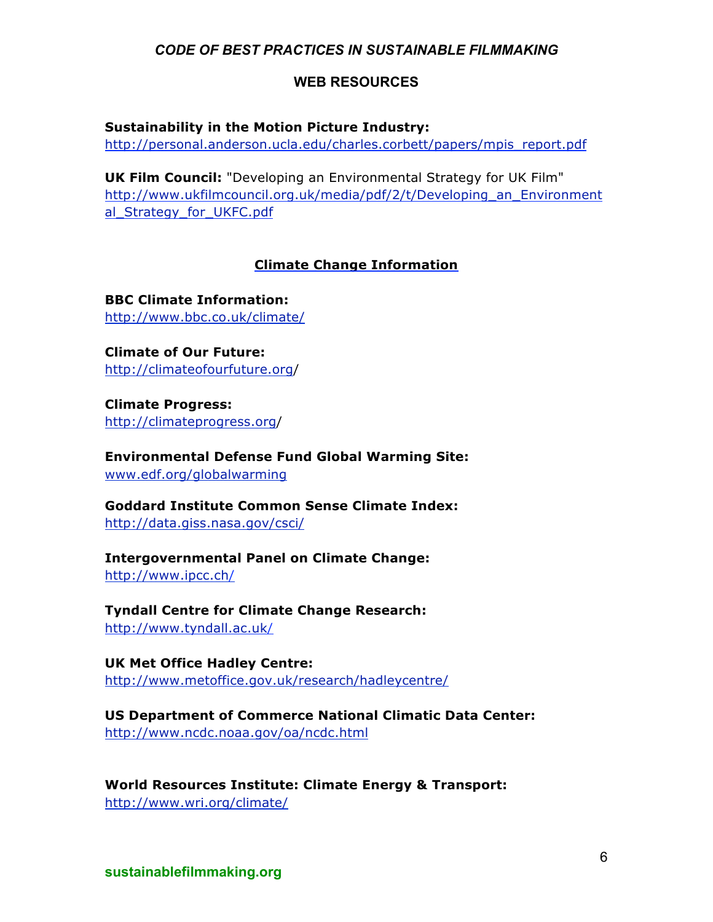## **WEB RESOURCES**

#### **Sustainability in the Motion Picture Industry:**

http://personal.anderson.ucla.edu/charles.corbett/papers/mpis\_report.pdf

**UK Film Council:** "Developing an Environmental Strategy for UK Film" http://www.ukfilmcouncil.org.uk/media/pdf/2/t/Developing\_an\_Environment al Strategy for UKFC.pdf

#### **Climate Change Information**

**BBC Climate Information:** http://www.bbc.co.uk/climate/

**Climate of Our Future:** http://climateofourfuture.org/

**Climate Progress:** http://climateprogress.org/

**Environmental Defense Fund Global Warming Site:** www.edf.org/globalwarming

**Goddard Institute Common Sense Climate Index:** http://data.giss.nasa.gov/csci/

**Intergovernmental Panel on Climate Change:** http://www.ipcc.ch/

**Tyndall Centre for Climate Change Research:** http://www.tyndall.ac.uk/

**UK Met Office Hadley Centre:** http://www.metoffice.gov.uk/research/hadleycentre/

**US Department of Commerce National Climatic Data Center:** http://www.ncdc.noaa.gov/oa/ncdc.html

**World Resources Institute: Climate Energy & Transport:** http://www.wri.org/climate/

**sustainablefilmmaking.org**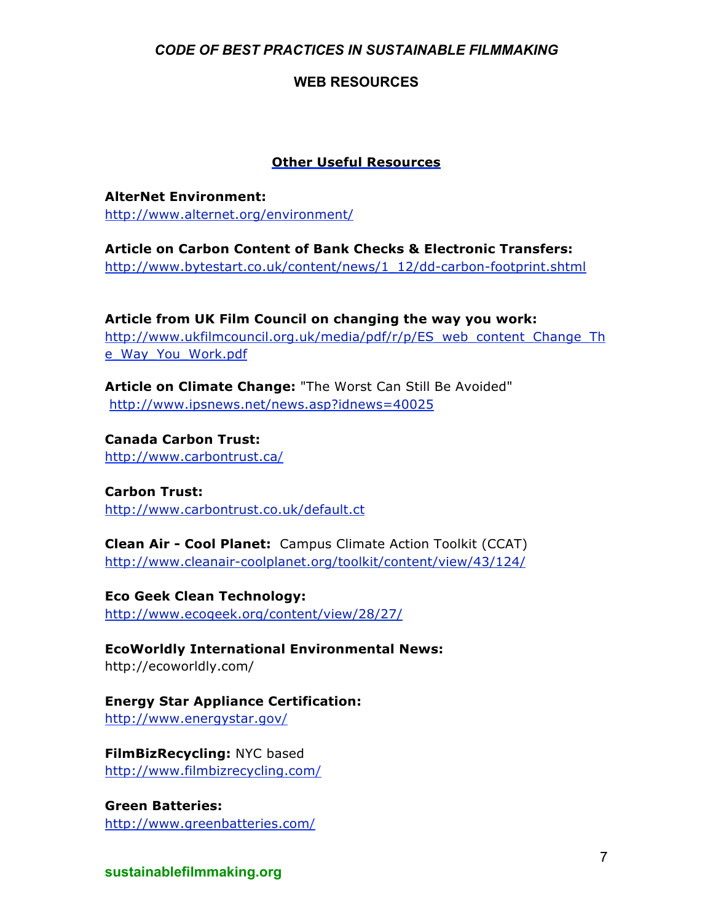#### **WEB RESOURCES**

#### **Other Useful Resources**

**AlterNet Environment:** http://www.alternet.org/environment/

**Article on Carbon Content of Bank Checks & Electronic Transfers:** http://www.bytestart.co.uk/content/news/1\_12/dd-carbon-footprint.shtml

**Article from UK Film Council on changing the way you work:** http://www.ukfilmcouncil.org.uk/media/pdf/r/p/ES\_web\_content\_Change\_Th e\_Way\_You\_Work.pdf

**Article on Climate Change:** "The Worst Can Still Be Avoided" http://www.ipsnews.net/news.asp?idnews=40025

**Canada Carbon Trust:**  http://www.carbontrust.ca/

**Carbon Trust:** http://www.carbontrust.co.uk/default.ct

**Clean Air - Cool Planet:** Campus Climate Action Toolkit (CCAT) http://www.cleanair-coolplanet.org/toolkit/content/view/43/124/

**Eco Geek Clean Technology:** http://www.ecogeek.org/content/view/28/27/

**EcoWorldly International Environmental News:** http://ecoworldly.com/

**Energy Star Appliance Certification:** http://www.energystar.gov/

**FilmBizRecycling:** NYC based http://www.filmbizrecycling.com/

**Green Batteries:**  http://www.greenbatteries.com/

**sustainablefilmmaking.org**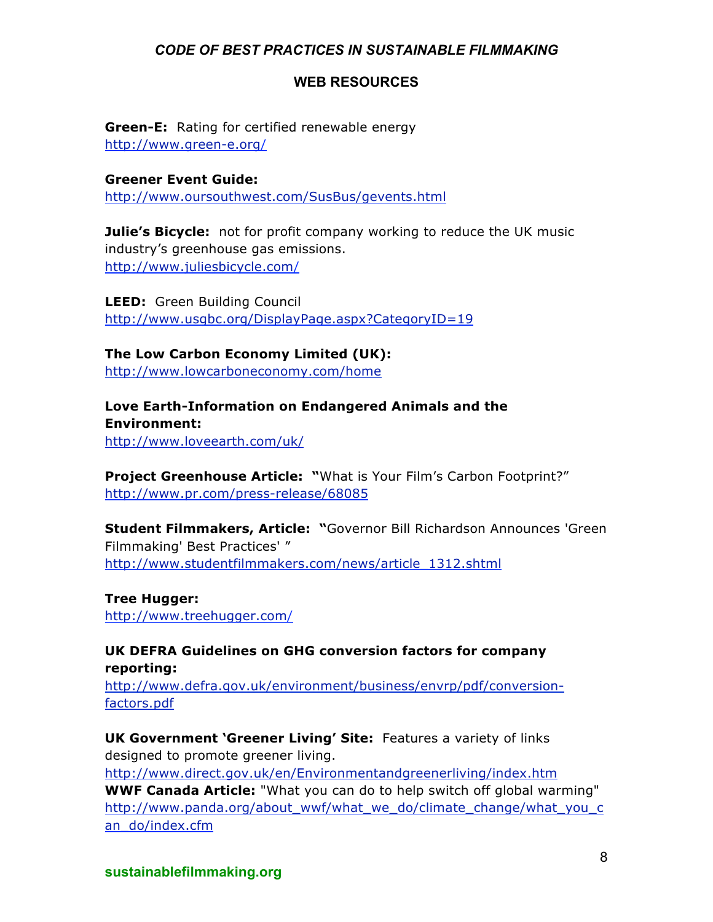#### **WEB RESOURCES**

**Green-E:** Rating for certified renewable energy http://www.green-e.org/

**Greener Event Guide:** http://www.oursouthwest.com/SusBus/gevents.html

**Julie's Bicycle:** not for profit company working to reduce the UK music industry's greenhouse gas emissions. http://www.juliesbicycle.com/

**LEED:** Green Building Council http://www.usgbc.org/DisplayPage.aspx?CategoryID=19

**The Low Carbon Economy Limited (UK):** http://www.lowcarboneconomy.com/home

**Love Earth-Information on Endangered Animals and the Environment:** http://www.loveearth.com/uk/

**Project Greenhouse Article: "**What is Your Film's Carbon Footprint?" http://www.pr.com/press-release/68085

**Student Filmmakers, Article: "**Governor Bill Richardson Announces 'Green Filmmaking' Best Practices' " http://www.studentfilmmakers.com/news/article\_1312.shtml

**Tree Hugger:**  http://www.treehugger.com/

**UK DEFRA Guidelines on GHG conversion factors for company reporting:**

http://www.defra.gov.uk/environment/business/envrp/pdf/conversionfactors.pdf

**UK Government 'Greener Living' Site:** Features a variety of links designed to promote greener living. http://www.direct.gov.uk/en/Environmentandgreenerliving/index.htm **WWF Canada Article:** "What you can do to help switch off global warming" http://www.panda.org/about\_wwf/what\_we\_do/climate\_change/what\_you\_c an\_do/index.cfm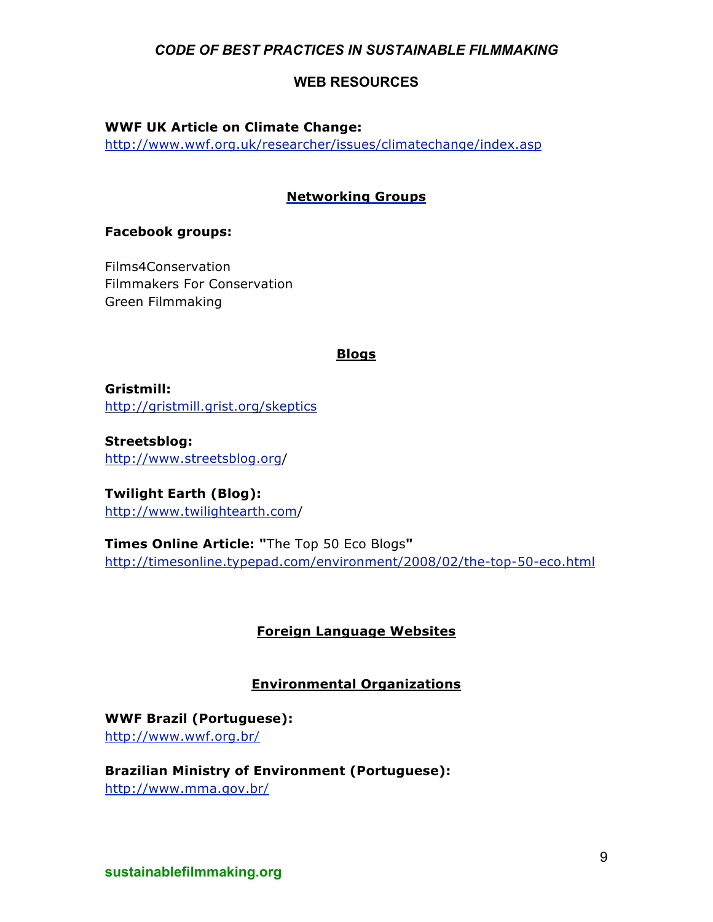## **WEB RESOURCES**

**WWF UK Article on Climate Change:**

http://www.wwf.org.uk/researcher/issues/climatechange/index.asp

### **Networking Groups**

#### **Facebook groups:**

Films4Conservation Filmmakers For Conservation Green Filmmaking

#### **Blogs**

**Gristmill:** http://gristmill.grist.org/skeptics

**Streetsblog:** http://www.streetsblog.org/

**Twilight Earth (Blog):** http://www.twilightearth.com/

**Times Online Article: "**The Top 50 Eco Blogs**"** http://timesonline.typepad.com/environment/2008/02/the-top-50-eco.html

## **Foreign Language Websites**

## **Environmental Organizations**

**WWF Brazil (Portuguese):** http://www.wwf.org.br/

**Brazilian Ministry of Environment (Portuguese):** http://www.mma.gov.br/